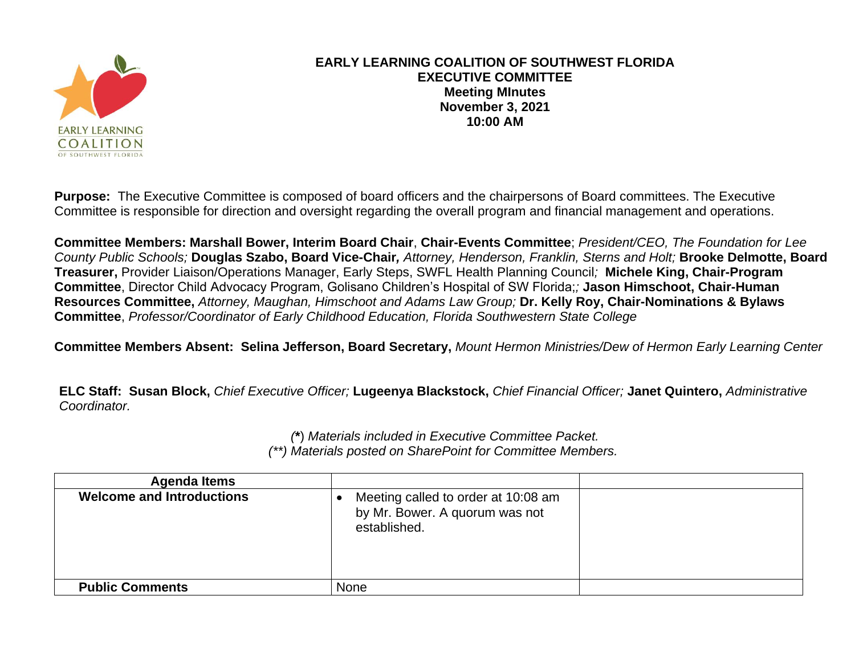

## **EARLY LEARNING COALITION OF SOUTHWEST FLORIDA EXECUTIVE COMMITTEE Meeting MInutes November 3, 2021 10:00 AM**

**Purpose:** The Executive Committee is composed of board officers and the chairpersons of Board committees. The Executive Committee is responsible for direction and oversight regarding the overall program and financial management and operations.

**Committee Members: Marshall Bower, Interim Board Chair**, **Chair-Events Committee**; *President/CEO, The Foundation for Lee County Public Schools;* **Douglas Szabo, Board Vice-Chair***, Attorney, Henderson, Franklin, Sterns and Holt;* **Brooke Delmotte, Board Treasurer,** Provider Liaison/Operations Manager, Early Steps, SWFL Health Planning Council*;* **Michele King, Chair-Program Committee**, Director Child Advocacy Program, Golisano Children's Hospital of SW Florida;*;* **Jason Himschoot, Chair-Human Resources Committee,** *Attorney, Maughan, Himschoot and Adams Law Group;* **Dr. Kelly Roy, Chair-Nominations & Bylaws Committee**, *Professor/Coordinator of Early Childhood Education, Florida Southwestern State College*

**Committee Members Absent: Selina Jefferson, Board Secretary,** *Mount Hermon Ministries/Dew of Hermon Early Learning Center*

**ELC Staff: Susan Block,** *Chief Executive Officer;* **Lugeenya Blackstock,** *Chief Financial Officer;* **Janet Quintero,** *Administrative Coordinator.*

> *(***\***) *Materials included in Executive Committee Packet. (\*\*) Materials posted on SharePoint for Committee Members.*

| <b>Agenda Items</b>              |                                                                                       |  |
|----------------------------------|---------------------------------------------------------------------------------------|--|
| <b>Welcome and Introductions</b> | Meeting called to order at 10:08 am<br>by Mr. Bower. A quorum was not<br>established. |  |
| <b>Public Comments</b>           | <b>None</b>                                                                           |  |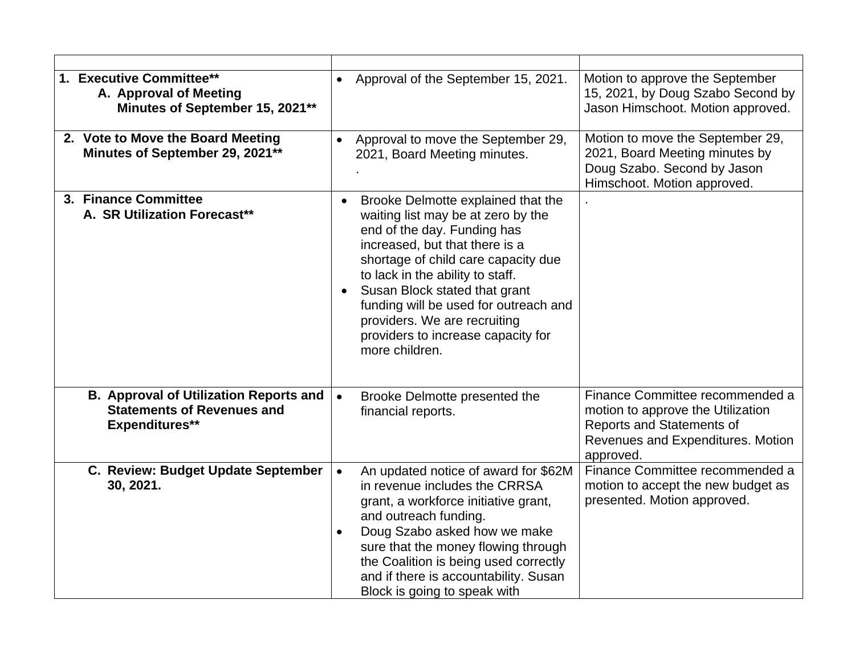| 1. Executive Committee**<br>A. Approval of Meeting<br>Minutes of September 15, 2021**                       | Approval of the September 15, 2021.<br>$\bullet$                                                                                                                                                                                                                                                                                                                                                    | Motion to approve the September<br>15, 2021, by Doug Szabo Second by<br>Jason Himschoot. Motion approved.                                           |
|-------------------------------------------------------------------------------------------------------------|-----------------------------------------------------------------------------------------------------------------------------------------------------------------------------------------------------------------------------------------------------------------------------------------------------------------------------------------------------------------------------------------------------|-----------------------------------------------------------------------------------------------------------------------------------------------------|
| 2. Vote to Move the Board Meeting<br>Minutes of September 29, 2021**                                        | Approval to move the September 29,<br>$\bullet$<br>2021, Board Meeting minutes.                                                                                                                                                                                                                                                                                                                     | Motion to move the September 29,<br>2021, Board Meeting minutes by<br>Doug Szabo. Second by Jason<br>Himschoot. Motion approved.                    |
| 3. Finance Committee<br>A. SR Utilization Forecast**                                                        | Brooke Delmotte explained that the<br>$\bullet$<br>waiting list may be at zero by the<br>end of the day. Funding has<br>increased, but that there is a<br>shortage of child care capacity due<br>to lack in the ability to staff.<br>Susan Block stated that grant<br>funding will be used for outreach and<br>providers. We are recruiting<br>providers to increase capacity for<br>more children. |                                                                                                                                                     |
| <b>B. Approval of Utilization Reports and</b><br><b>Statements of Revenues and</b><br><b>Expenditures**</b> | $\bullet$<br>Brooke Delmotte presented the<br>financial reports.                                                                                                                                                                                                                                                                                                                                    | Finance Committee recommended a<br>motion to approve the Utilization<br>Reports and Statements of<br>Revenues and Expenditures. Motion<br>approved. |
| C. Review: Budget Update September<br>30, 2021.                                                             | An updated notice of award for \$62M<br>$\bullet$<br>in revenue includes the CRRSA<br>grant, a workforce initiative grant,<br>and outreach funding.<br>Doug Szabo asked how we make<br>$\bullet$<br>sure that the money flowing through<br>the Coalition is being used correctly<br>and if there is accountability. Susan<br>Block is going to speak with                                           | Finance Committee recommended a<br>motion to accept the new budget as<br>presented. Motion approved.                                                |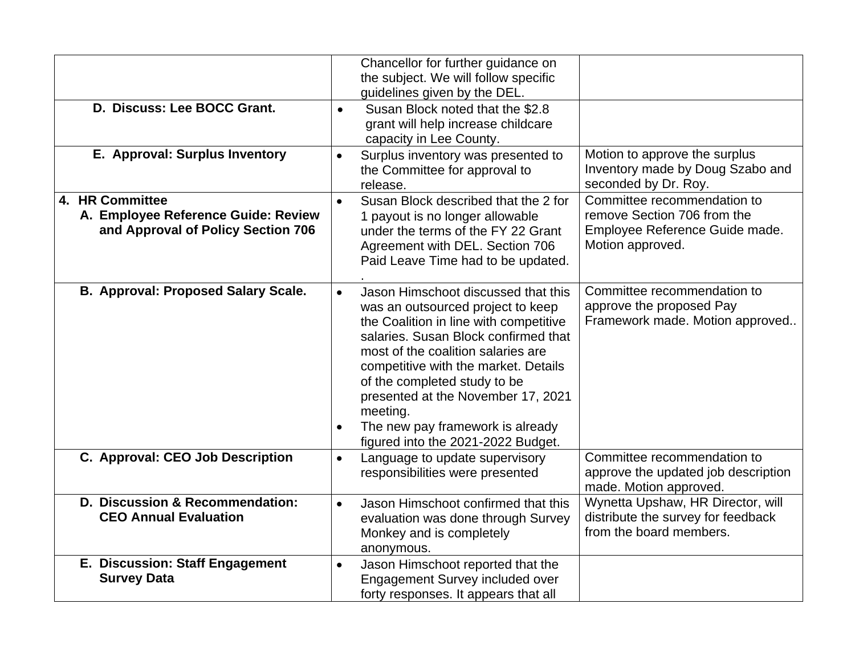| D. Discuss: Lee BOCC Grant.                                                                  | Chancellor for further guidance on<br>the subject. We will follow specific<br>guidelines given by the DEL.<br>Susan Block noted that the \$2.8<br>$\bullet$<br>grant will help increase childcare                                                                                                                                                                                                                              |                                                                                                                  |
|----------------------------------------------------------------------------------------------|--------------------------------------------------------------------------------------------------------------------------------------------------------------------------------------------------------------------------------------------------------------------------------------------------------------------------------------------------------------------------------------------------------------------------------|------------------------------------------------------------------------------------------------------------------|
| E. Approval: Surplus Inventory                                                               | capacity in Lee County.<br>Surplus inventory was presented to<br>$\bullet$<br>the Committee for approval to<br>release.                                                                                                                                                                                                                                                                                                        | Motion to approve the surplus<br>Inventory made by Doug Szabo and<br>seconded by Dr. Roy.                        |
| 4. HR Committee<br>A. Employee Reference Guide: Review<br>and Approval of Policy Section 706 | Susan Block described that the 2 for<br>$\bullet$<br>1 payout is no longer allowable<br>under the terms of the FY 22 Grant<br>Agreement with DEL. Section 706<br>Paid Leave Time had to be updated.                                                                                                                                                                                                                            | Committee recommendation to<br>remove Section 706 from the<br>Employee Reference Guide made.<br>Motion approved. |
| <b>B. Approval: Proposed Salary Scale.</b>                                                   | Jason Himschoot discussed that this<br>$\bullet$<br>was an outsourced project to keep<br>the Coalition in line with competitive<br>salaries. Susan Block confirmed that<br>most of the coalition salaries are<br>competitive with the market. Details<br>of the completed study to be<br>presented at the November 17, 2021<br>meeting.<br>The new pay framework is already<br>$\bullet$<br>figured into the 2021-2022 Budget. | Committee recommendation to<br>approve the proposed Pay<br>Framework made. Motion approved                       |
| C. Approval: CEO Job Description                                                             | Language to update supervisory<br>$\bullet$<br>responsibilities were presented                                                                                                                                                                                                                                                                                                                                                 | Committee recommendation to<br>approve the updated job description<br>made. Motion approved.                     |
| D. Discussion & Recommendation:<br><b>CEO Annual Evaluation</b>                              | Jason Himschoot confirmed that this<br>$\bullet$<br>evaluation was done through Survey<br>Monkey and is completely<br>anonymous.                                                                                                                                                                                                                                                                                               | Wynetta Upshaw, HR Director, will<br>distribute the survey for feedback<br>from the board members.               |
| E. Discussion: Staff Engagement<br><b>Survey Data</b>                                        | Jason Himschoot reported that the<br>$\bullet$<br>Engagement Survey included over<br>forty responses. It appears that all                                                                                                                                                                                                                                                                                                      |                                                                                                                  |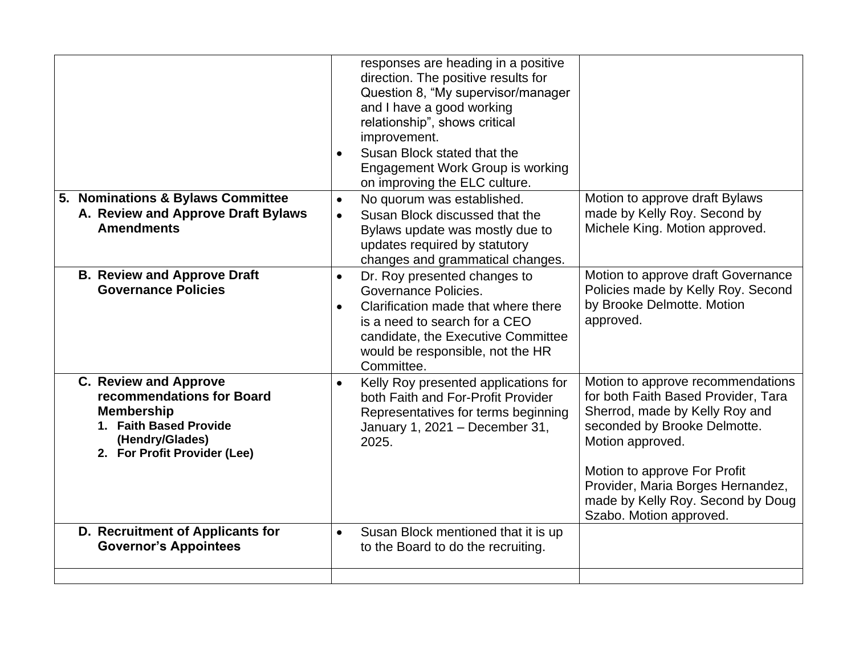|                                                                                                                                                             | responses are heading in a positive<br>direction. The positive results for<br>Question 8, "My supervisor/manager<br>and I have a good working<br>relationship", shows critical<br>improvement.<br>Susan Block stated that the<br><b>Engagement Work Group is working</b><br>on improving the ELC culture. |                                                                                                                                                                                                                                                                                                     |
|-------------------------------------------------------------------------------------------------------------------------------------------------------------|-----------------------------------------------------------------------------------------------------------------------------------------------------------------------------------------------------------------------------------------------------------------------------------------------------------|-----------------------------------------------------------------------------------------------------------------------------------------------------------------------------------------------------------------------------------------------------------------------------------------------------|
| 5. Nominations & Bylaws Committee<br>A. Review and Approve Draft Bylaws<br><b>Amendments</b>                                                                | No quorum was established.<br>$\bullet$<br>Susan Block discussed that the<br>$\bullet$<br>Bylaws update was mostly due to<br>updates required by statutory<br>changes and grammatical changes.                                                                                                            | Motion to approve draft Bylaws<br>made by Kelly Roy. Second by<br>Michele King. Motion approved.                                                                                                                                                                                                    |
| <b>B. Review and Approve Draft</b><br><b>Governance Policies</b>                                                                                            | Dr. Roy presented changes to<br>$\bullet$<br>Governance Policies.<br>Clarification made that where there<br>$\bullet$<br>is a need to search for a CEO<br>candidate, the Executive Committee<br>would be responsible, not the HR<br>Committee.                                                            | Motion to approve draft Governance<br>Policies made by Kelly Roy. Second<br>by Brooke Delmotte. Motion<br>approved.                                                                                                                                                                                 |
| <b>C. Review and Approve</b><br>recommendations for Board<br><b>Membership</b><br>1. Faith Based Provide<br>(Hendry/Glades)<br>2. For Profit Provider (Lee) | Kelly Roy presented applications for<br>$\bullet$<br>both Faith and For-Profit Provider<br>Representatives for terms beginning<br>January 1, 2021 - December 31,<br>2025.                                                                                                                                 | Motion to approve recommendations<br>for both Faith Based Provider, Tara<br>Sherrod, made by Kelly Roy and<br>seconded by Brooke Delmotte.<br>Motion approved.<br>Motion to approve For Profit<br>Provider, Maria Borges Hernandez,<br>made by Kelly Roy. Second by Doug<br>Szabo. Motion approved. |
| D. Recruitment of Applicants for<br><b>Governor's Appointees</b>                                                                                            | Susan Block mentioned that it is up<br>$\bullet$<br>to the Board to do the recruiting.                                                                                                                                                                                                                    |                                                                                                                                                                                                                                                                                                     |